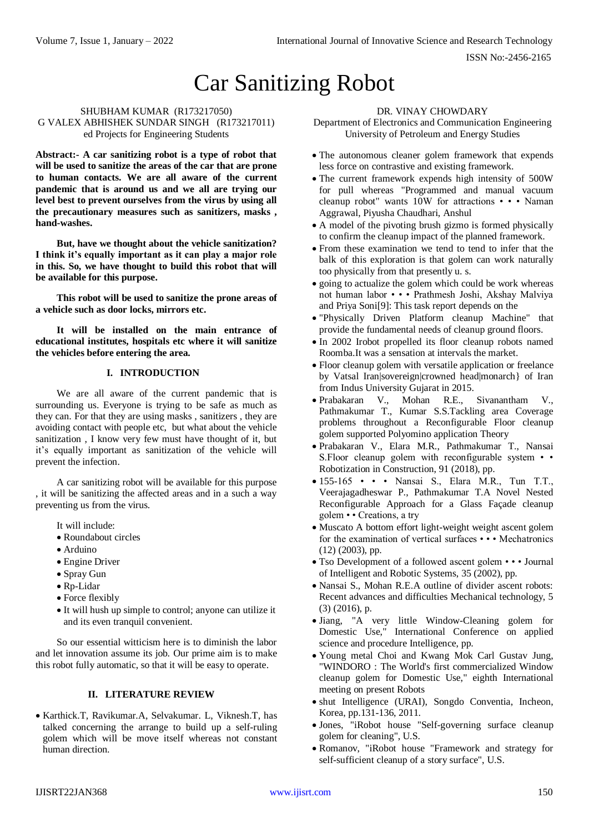# Car Sanitizing Robot

#### SHUBHAM KUMAR (R173217050) G VALEX ABHISHEK SUNDAR SINGH (R173217011) ed Projects for Engineering Students

**Abstract:- A car sanitizing robot is a type of robot that will be used to sanitize the areas of the car that are prone to human contacts. We are all aware of the current pandemic that is around us and we all are trying our level best to prevent ourselves from the virus by using all the precautionary measures such as sanitizers, masks , hand-washes.**

**But, have we thought about the vehicle sanitization? I think it's equally important as it can play a major role in this. So, we have thought to build this robot that will be available for this purpose.**

**This robot will be used to sanitize the prone areas of a vehicle such as door locks, mirrors etc.**

**It will be installed on the main entrance of educational institutes, hospitals etc where it will sanitize the vehicles before entering the area.**

## **I. INTRODUCTION**

We are all aware of the current pandemic that is surrounding us. Everyone is trying to be safe as much as they can. For that they are using masks , sanitizers , they are avoiding contact with people etc, but what about the vehicle sanitization , I know very few must have thought of it, but it's equally important as sanitization of the vehicle will prevent the infection.

A car sanitizing robot will be available for this purpose , it will be sanitizing the affected areas and in a such a way preventing us from the virus.

It will include:

- Roundabout circles
- Arduino
- Engine Driver
- Spray Gun
- Rp-Lidar
- Force flexibly
- It will hush up simple to control; anyone can utilize it and its even tranquil convenient.

So our essential witticism here is to diminish the labor and let innovation assume its job. Our prime aim is to make this robot fully automatic, so that it will be easy to operate.

## **II. LITERATURE REVIEW**

 Karthick.T, Ravikumar.A, Selvakumar. L, Viknesh.T, has talked concerning the arrange to build up a self-ruling golem which will be move itself whereas not constant human direction.

### DR. VINAY CHOWDARY

Department of Electronics and Communication Engineering University of Petroleum and Energy Studies

- The autonomous cleaner golem framework that expends less force on contrastive and existing framework.
- The current framework expends high intensity of 500W for pull whereas "Programmed and manual vacuum cleanup robot" wants 10W for attractions • • • Naman Aggrawal, Piyusha Chaudhari, Anshul
- A model of the pivoting brush gizmo is formed physically to confirm the cleanup impact of the planned framework.
- From these examination we tend to tend to infer that the balk of this exploration is that golem can work naturally too physically from that presently u. s.
- going to actualize the golem which could be work whereas not human labor • • • Prathmesh Joshi, Akshay Malviya and Priya Soni[9]: This task report depends on the
- "Physically Driven Platform cleanup Machine" that provide the fundamental needs of cleanup ground floors.
- In 2002 Irobot propelled its floor cleanup robots named Roomba.It was a sensation at intervals the market.
- Floor cleanup golem with versatile application or freelance by Vatsal Iran|sovereign|crowned head|monarch} of Iran from Indus University Gujarat in 2015.
- Prabakaran V., Mohan R.E., Sivanantham V., Pathmakumar T., Kumar S.S.Tackling area Coverage problems throughout a Reconfigurable Floor cleanup golem supported Polyomino application Theory
- Prabakaran V., Elara M.R., Pathmakumar T., Nansai S.Floor cleanup golem with reconfigurable system • • Robotization in Construction, 91 (2018), pp.
- 155-165 • Nansai S., Elara M.R., Tun T.T., Veerajagadheswar P., Pathmakumar T.A Novel Nested Reconfigurable Approach for a Glass Façade cleanup golem • • Creations, a try
- Muscato A bottom effort light-weight weight ascent golem for the examination of vertical surfaces • • • Mechatronics (12) (2003), pp.
- Tso Development of a followed ascent golem • Journal of Intelligent and Robotic Systems, 35 (2002), pp.
- Nansai S., Mohan R.E.A outline of divider ascent robots: Recent advances and difficulties Mechanical technology, 5 (3) (2016), p.
- Jiang, "A very little Window-Cleaning golem for Domestic Use," International Conference on applied science and procedure Intelligence, pp.
- Young metal Choi and Kwang Mok Carl Gustav Jung, "WINDORO : The World's first commercialized Window cleanup golem for Domestic Use," eighth International meeting on present Robots
- shut Intelligence (URAI), Songdo Conventia, Incheon, Korea, pp.131-136, 2011.
- Jones, "iRobot house "Self-governing surface cleanup golem for cleaning", U.S.
- Romanov, "iRobot house "Framework and strategy for self-sufficient cleanup of a story surface", U.S.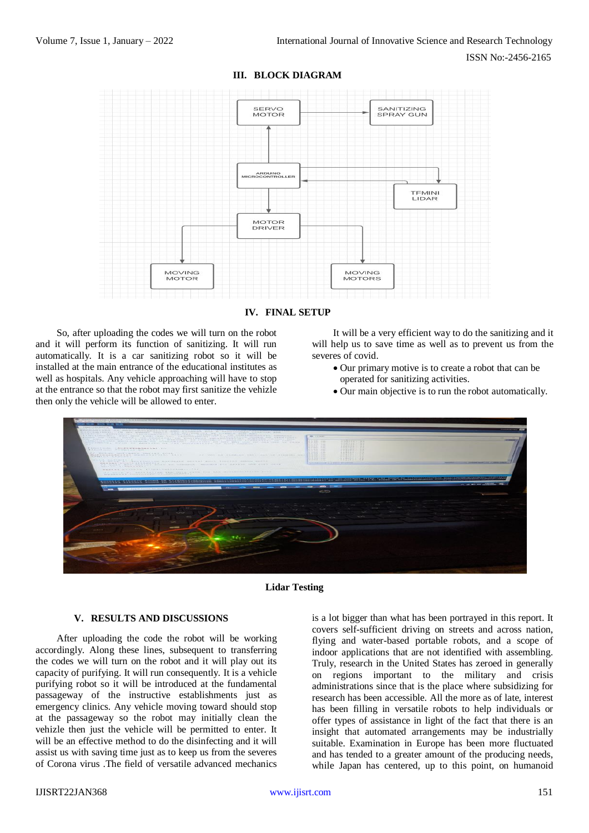

**III. BLOCK DIAGRAM**



So, after uploading the codes we will turn on the robot and it will perform its function of sanitizing. It will run automatically. It is a car sanitizing robot so it will be installed at the main entrance of the educational institutes as well as hospitals. Any vehicle approaching will have to stop at the entrance so that the robot may first sanitize the vehizle then only the vehicle will be allowed to enter.

It will be a very efficient way to do the sanitizing and it will help us to save time as well as to prevent us from the severes of covid.

- Our primary motive is to create a robot that can be operated for sanitizing activities.
- Our main objective is to run the robot automatically.



**Lidar Testing**

#### **V. RESULTS AND DISCUSSIONS**

After uploading the code the robot will be working accordingly. Along these lines, subsequent to transferring the codes we will turn on the robot and it will play out its capacity of purifying. It will run consequently. It is a vehicle purifying robot so it will be introduced at the fundamental passageway of the instructive establishments just as emergency clinics. Any vehicle moving toward should stop at the passageway so the robot may initially clean the vehizle then just the vehicle will be permitted to enter. It will be an effective method to do the disinfecting and it will assist us with saving time just as to keep us from the severes of Corona virus .The field of versatile advanced mechanics

is a lot bigger than what has been portrayed in this report. It covers self-sufficient driving on streets and across nation, flying and water-based portable robots, and a scope of indoor applications that are not identified with assembling. Truly, research in the United States has zeroed in generally on regions important to the military and crisis administrations since that is the place where subsidizing for research has been accessible. All the more as of late, interest has been filling in versatile robots to help individuals or offer types of assistance in light of the fact that there is an insight that automated arrangements may be industrially suitable. Examination in Europe has been more fluctuated and has tended to a greater amount of the producing needs, while Japan has centered, up to this point, on humanoid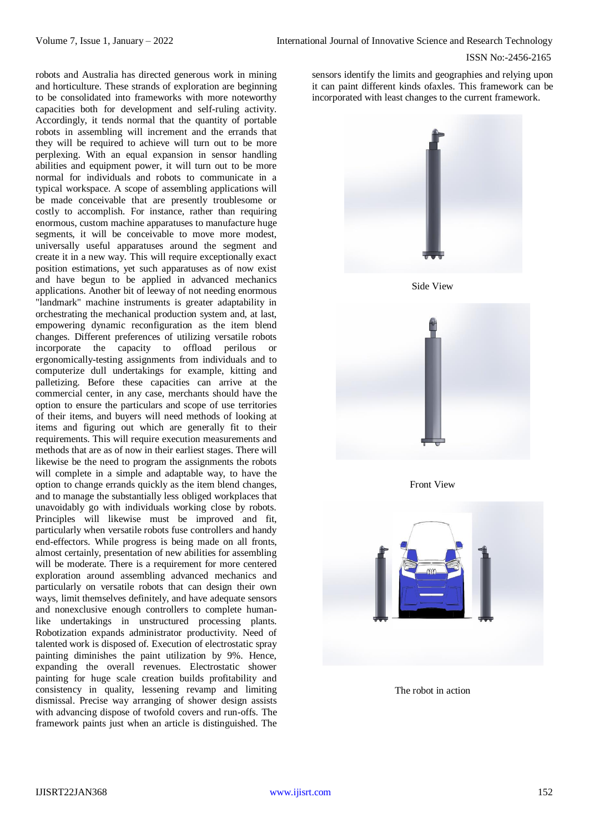#### ISSN No:-2456-2165

robots and Australia has directed generous work in mining and horticulture. These strands of exploration are beginning to be consolidated into frameworks with more noteworthy capacities both for development and self-ruling activity. Accordingly, it tends normal that the quantity of portable robots in assembling will increment and the errands that they will be required to achieve will turn out to be more perplexing. With an equal expansion in sensor handling abilities and equipment power, it will turn out to be more normal for individuals and robots to communicate in a typical workspace. A scope of assembling applications will be made conceivable that are presently troublesome or costly to accomplish. For instance, rather than requiring enormous, custom machine apparatuses to manufacture huge segments, it will be conceivable to move more modest, universally useful apparatuses around the segment and create it in a new way. This will require exceptionally exact position estimations, yet such apparatuses as of now exist and have begun to be applied in advanced mechanics applications. Another bit of leeway of not needing enormous "landmark" machine instruments is greater adaptability in orchestrating the mechanical production system and, at last, empowering dynamic reconfiguration as the item blend changes. Different preferences of utilizing versatile robots incorporate the capacity to offload perilous or ergonomically-testing assignments from individuals and to computerize dull undertakings for example, kitting and palletizing. Before these capacities can arrive at the commercial center, in any case, merchants should have the option to ensure the particulars and scope of use territories of their items, and buyers will need methods of looking at items and figuring out which are generally fit to their requirements. This will require execution measurements and methods that are as of now in their earliest stages. There will likewise be the need to program the assignments the robots will complete in a simple and adaptable way, to have the option to change errands quickly as the item blend changes, and to manage the substantially less obliged workplaces that unavoidably go with individuals working close by robots. Principles will likewise must be improved and fit, particularly when versatile robots fuse controllers and handy end-effectors. While progress is being made on all fronts, almost certainly, presentation of new abilities for assembling will be moderate. There is a requirement for more centered exploration around assembling advanced mechanics and particularly on versatile robots that can design their own ways, limit themselves definitely, and have adequate sensors and nonexclusive enough controllers to complete humanlike undertakings in unstructured processing plants. Robotization expands administrator productivity. Need of talented work is disposed of. Execution of electrostatic spray painting diminishes the paint utilization by 9%. Hence, expanding the overall revenues. Electrostatic shower painting for huge scale creation builds profitability and consistency in quality, lessening revamp and limiting dismissal. Precise way arranging of shower design assists with advancing dispose of twofold covers and run-offs. The framework paints just when an article is distinguished. The

sensors identify the limits and geographies and relying upon it can paint different kinds ofaxles. This framework can be incorporated with least changes to the current framework.



Side View



Front View



The robot in action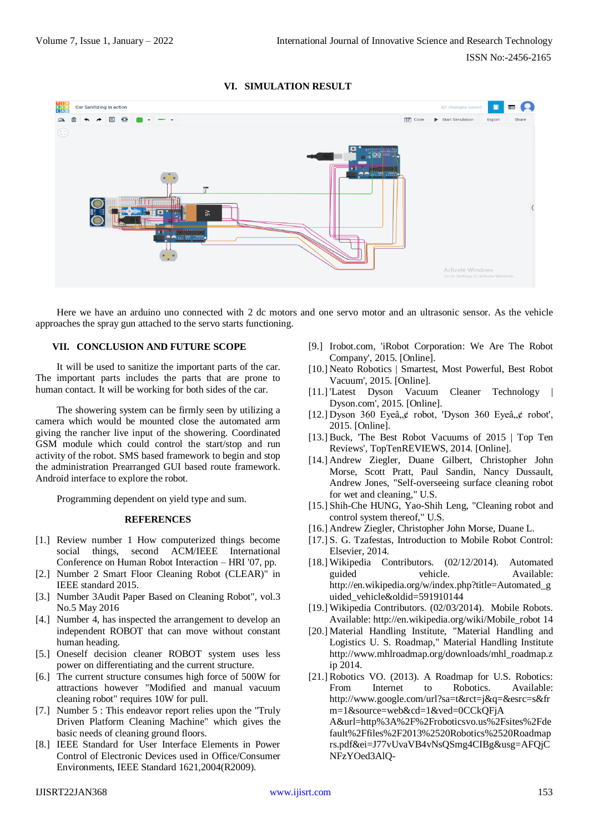## **VI. SIMULATION RESULT**



Here we have an arduino uno connected with 2 dc motors and one servo motor and an ultrasonic sensor. As the vehicle approaches the spray gun attached to the servo starts functioning.

### **VII. CONCLUSION AND FUTURE SCOPE**

It will be used to sanitize the important parts of the car. The important parts includes the parts that are prone to human contact. It will be working for both sides of the car.

The showering system can be firmly seen by utilizing a camera which would be mounted close the automated arm giving the rancher live input of the showering. Coordinated GSM module which could control the start/stop and run activity of the robot. SMS based framework to begin and stop the administration Prearranged GUI based route framework. Android interface to explore the robot.

Programming dependent on yield type and sum.

#### **REFERENCES**

- [1.] Review number 1 How computerized things become social things, second ACM/IEEE International Conference on Human Robot Interaction – HRI '07, pp.
- [2.] Number 2 Smart Floor Cleaning Robot (CLEAR)" in IEEE standard 2015.
- [3.] Number 3Audit Paper Based on Cleaning Robot", vol.3 No.5 May 2016
- [4.] Number 4, has inspected the arrangement to develop an independent ROBOT that can move without constant human heading.
- [5.] Oneself decision cleaner ROBOT system uses less power on differentiating and the current structure.
- [6.] The current structure consumes high force of 500W for attractions however "Modified and manual vacuum cleaning robot" requires 10W for pull.
- [7.] Number 5 : This endeavor report relies upon the "Truly Driven Platform Cleaning Machine" which gives the basic needs of cleaning ground floors.
- [8.] IEEE Standard for User Interface Elements in Power Control of Electronic Devices used in Office/Consumer Environments, IEEE Standard 1621,2004(R2009).
- [9.] Irobot.com, 'iRobot Corporation: We Are The Robot Company', 2015. [Online].
- [10.] Neato Robotics | Smartest, Most Powerful, Best Robot Vacuum', 2015. [Online].
- [11.] 'Latest Dyson Vacuum Cleaner Technology | Dyson.com', 2015. [Online].
- [12.] Dyson 360 Eyeâ, $\phi$  robot, 'Dyson 360 Eyeâ, $\phi$  robot', 2015. [Online].
- [13.] Buck, 'The Best Robot Vacuums of 2015 | Top Ten Reviews', TopTenREVIEWS, 2014. [Online].
- [14.] Andrew Ziegler, Duane Gilbert, Christopher John Morse, Scott Pratt, Paul Sandin, Nancy Dussault, Andrew Jones, "Self-overseeing surface cleaning robot for wet and cleaning," U.S.
- [15.] Shih-Che HUNG, Yao-Shih Leng, "Cleaning robot and control system thereof," U.S.
- [16.] Andrew Ziegler, Christopher John Morse, Duane L.
- [17.] S. G. Tzafestas, Introduction to Mobile Robot Control: Elsevier, 2014.
- [18.] Wikipedia Contributors. (02/12/2014). Automated guided vehicle. Available: [http://en.wikipedia.org/w/index.php?title=Automated\\_g](http://en.wikipedia.org/w/index.php?title=Automated_guided_vehicle&oldid=591910144) uided vehicle&oldid=591910144
- [19.] Wikipedia Contributors. (02/03/2014). Mobile Robots. Available: [http://en.wikipedia.org/wiki/Mobile\\_robot 14](http://en.wikipedia.org/wiki/Mobile_robot%2014)
- [20.] Material Handling Institute, "Material Handling and Logistics U. S. Roadmap," Material Handling Institute [http://www.mhlroadmap.org/downloads/mhl\\_roadmap.z](http://www.mhlroadmap.org/downloads/mhl_roadmap.zip%202014) [ip 2014.](http://www.mhlroadmap.org/downloads/mhl_roadmap.zip%202014)
- [21.] Robotics VO. (2013). A Roadmap for U.S. Robotics: From Internet to Robotics. Available: http://www.google.com/url?sa=t&rct=j&q=&esrc=s&fr m=1&source=web&cd=1&ved=0CCkQFjA A&url=http%3A%2F%2Froboticsvo.us%2Fsites%2Fde fault%2Ffiles%2F2013%2520Robotics%2520Roadmap rs.pdf&ei=J77vUvaVB4vNsQSmg4CIBg&usg=AFQjC NFzYOed3AlQ-